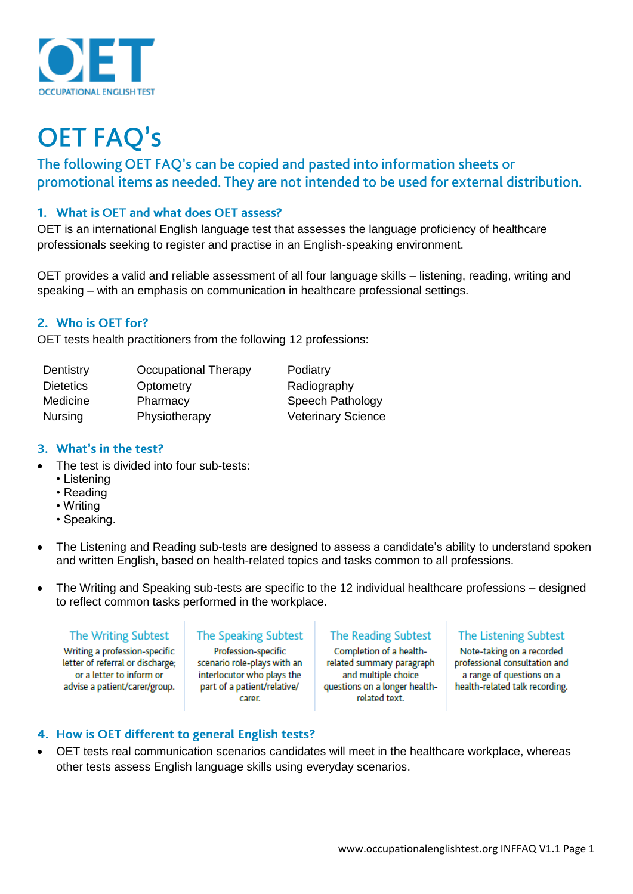

# **OET FAQ's**

The following OET FAQ's can be copied and pasted into information sheets or promotional items as needed. They are not intended to be used for external distribution.

## 1. What is OET and what does OET assess?

OET is an international English language test that assesses the language proficiency of healthcare professionals seeking to register and practise in an English-speaking environment.

OET provides a valid and reliable assessment of all four language skills – listening, reading, writing and speaking – with an emphasis on communication in healthcare professional settings.

## 2. Who is OET for?

OET tests health practitioners from the following 12 professions:

| Dentistry        | <b>Cccupational Therapy</b> | Podiatry                  |
|------------------|-----------------------------|---------------------------|
| <b>Dietetics</b> | Optometry                   | Radiography               |
| Medicine         | Pharmacy                    | Speech Pathology          |
| Nursing          | Physiotherapy               | <b>Veterinary Science</b> |

### 3. What's in the test?

- The test is divided into four sub-tests:
	- Listening
	- Reading
	- Writing
	- Speaking.
- The Listening and Reading sub-tests are designed to assess a candidate's ability to understand spoken and written English, based on health-related topics and tasks common to all professions.
- The Writing and Speaking sub-tests are specific to the 12 individual healthcare professions designed to reflect common tasks performed in the workplace.

#### The Writing Subtest

Writing a profession-specific letter of referral or discharge; or a letter to inform or advise a patient/carer/group.

# The Speaking Subtest

Profession-specific scenario role-plays with an interlocutor who plays the part of a patient/relative/ carer.

#### The Reading Subtest

Completion of a healthrelated summary paragraph and multiple choice questions on a longer healthrelated text.

## The Listening Subtest

Note-taking on a recorded professional consultation and a range of questions on a health-related talk recording.

# 4. How is OET different to general English tests?

• OET tests real communication scenarios candidates will meet in the healthcare workplace, whereas other tests assess English language skills using everyday scenarios.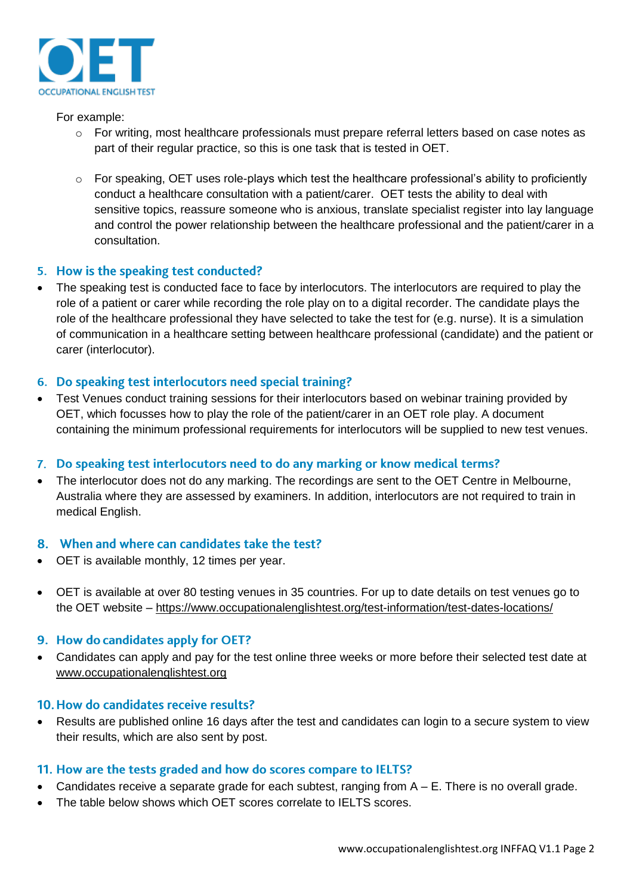

For example:

- o For writing, most healthcare professionals must prepare referral letters based on case notes as part of their regular practice, so this is one task that is tested in OET.
- o For speaking, OET uses role-plays which test the healthcare professional's ability to proficiently conduct a healthcare consultation with a patient/carer. OET tests the ability to deal with sensitive topics, reassure someone who is anxious, translate specialist register into lay language and control the power relationship between the healthcare professional and the patient/carer in a consultation.

## 5. How is the speaking test conducted?

• The speaking test is conducted face to face by interlocutors. The interlocutors are required to play the role of a patient or carer while recording the role play on to a digital recorder. The candidate plays the role of the healthcare professional they have selected to take the test for (e.g. nurse). It is a simulation of communication in a healthcare setting between healthcare professional (candidate) and the patient or carer (interlocutor).

## 6. Do speaking test interlocutors need special training?

• Test Venues conduct training sessions for their interlocutors based on webinar training provided by OET, which focusses how to play the role of the patient/carer in an OET role play. A document containing the minimum professional requirements for interlocutors will be supplied to new test venues.

# 7. Do speaking test interlocutors need to do any marking or know medical terms?

• The interlocutor does not do any marking. The recordings are sent to the OET Centre in Melbourne, Australia where they are assessed by examiners. In addition, interlocutors are not required to train in medical English.

## 8. When and where can candidates take the test?

- OET is available monthly, 12 times per year.
- OET is available at over 80 testing venues in 35 countries. For up to date details on test venues go to the OET website – <https://www.occupationalenglishtest.org/test-information/test-dates-locations/>

## 9. How do candidates apply for OET?

• Candidates can apply and pay for the test online three weeks or more before their selected test date at [www.occupationalenglishtest.org](http://www.occupationalenglishtest.org/)

# 10. How do candidates receive results?

Results are published online 16 days after the test and candidates can login to a secure system to view their results, which are also sent by post.

## 11. How are the tests graded and how do scores compare to IELTS?

- Candidates receive a separate grade for each subtest, ranging from  $A E$ . There is no overall grade.
- The table below shows which OET scores correlate to IELTS scores.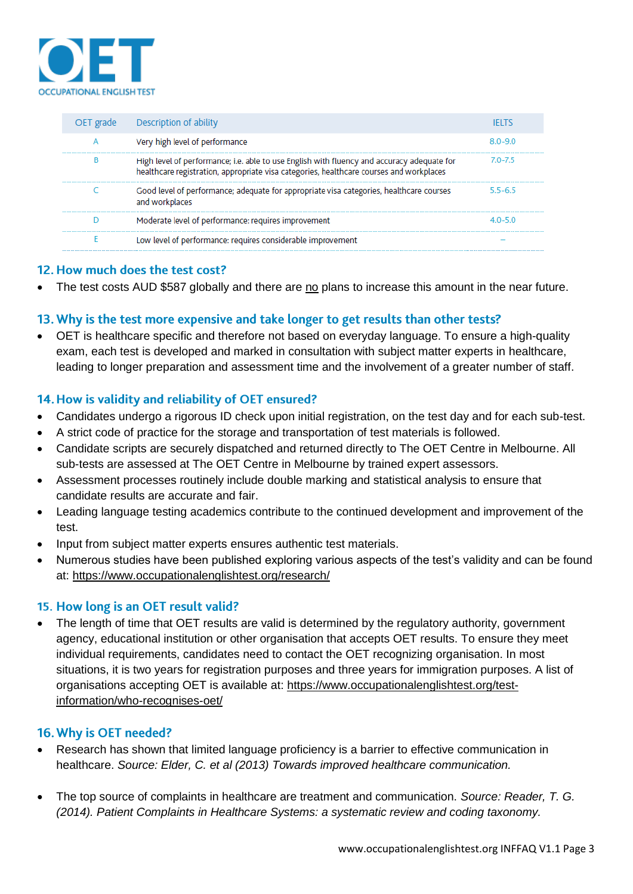

| OET grade | <b>Example Description of ability</b>                                                                                                                                                 |       |
|-----------|---------------------------------------------------------------------------------------------------------------------------------------------------------------------------------------|-------|
|           | Very high level of performance                                                                                                                                                        | 80-90 |
|           | High level of performance; i.e. able to use English with fluency and accuracy adequate for<br>healthcare registration, appropriate visa categories, healthcare courses and workplaces | 70-75 |
|           | Good level of performance; adequate for appropriate visa categories, healthcare courses<br>and workplaces                                                                             | 55-65 |
|           | Moderate level of performance: requires improvement                                                                                                                                   |       |
|           | Low level of performance: requires considerable improvement                                                                                                                           |       |

## 12. How much does the test cost?

The test costs AUD \$587 globally and there are no plans to increase this amount in the near future.

## 13. Why is the test more expensive and take longer to get results than other tests?

• OET is healthcare specific and therefore not based on everyday language. To ensure a high-quality exam, each test is developed and marked in consultation with subject matter experts in healthcare, leading to longer preparation and assessment time and the involvement of a greater number of staff.

## 14. How is validity and reliability of OET ensured?

- Candidates undergo a rigorous ID check upon initial registration, on the test day and for each sub-test.
- A strict code of practice for the storage and transportation of test materials is followed.
- Candidate scripts are securely dispatched and returned directly to The OET Centre in Melbourne. All sub-tests are assessed at The OET Centre in Melbourne by trained expert assessors.
- Assessment processes routinely include double marking and statistical analysis to ensure that candidate results are accurate and fair.
- Leading language testing academics contribute to the continued development and improvement of the test.
- Input from subject matter experts ensures authentic test materials.
- Numerous studies have been published exploring various aspects of the test's validity and can be found at:<https://www.occupationalenglishtest.org/research/>

#### 15. How long is an OET result valid?

The length of time that OET results are valid is determined by the regulatory authority, government agency, educational institution or other organisation that accepts OET results. To ensure they meet individual requirements, candidates need to contact the OET recognizing organisation. In most situations, it is two years for registration purposes and three years for immigration purposes. A list of organisations accepting OET is available at: [https://www.occupationalenglishtest.org/test](https://www.occupationalenglishtest.org/test-information/who-recognises-oet/)[information/who-recognises-oet/](https://www.occupationalenglishtest.org/test-information/who-recognises-oet/)

#### 16. Why is OET needed?

- Research has shown that limited language proficiency is a barrier to effective communication in healthcare. *Source: Elder, C. et al (2013) Towards improved healthcare communication.*
- The top source of complaints in healthcare are treatment and communication. *Source: Reader, T. G. (2014). Patient Complaints in Healthcare Systems: a systematic review and coding taxonomy.*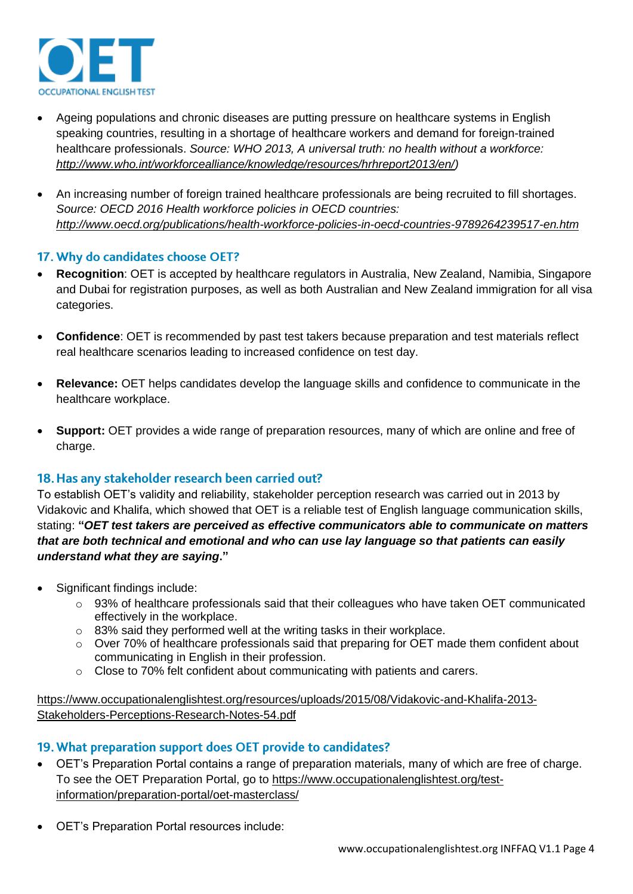

- Ageing populations and chronic diseases are putting pressure on healthcare systems in English speaking countries, resulting in a shortage of healthcare workers and demand for foreign-trained healthcare professionals. *Source: WHO 2013, A universal truth: no health without a workforce: [http://www.who.int/workforcealliance/knowledge/resources/hrhreport2013/en/\)](http://www.who.int/workforcealliance/knowledge/resources/hrhreport2013/en/)*
- An increasing number of foreign trained healthcare professionals are being recruited to fill shortages. *Source: OECD 2016 Health workforce policies in OECD countries: <http://www.oecd.org/publications/health-workforce-policies-in-oecd-countries-9789264239517-en.htm>*

## 17. Why do candidates choose OET?

- **Recognition**: OET is accepted by healthcare regulators in Australia, New Zealand, Namibia, Singapore and Dubai for registration purposes, as well as both Australian and New Zealand immigration for all visa categories.
- **Confidence**: OET is recommended by past test takers because preparation and test materials reflect real healthcare scenarios leading to increased confidence on test day.
- **Relevance:** OET helps candidates develop the language skills and confidence to communicate in the healthcare workplace.
- **Support:** OET provides a wide range of preparation resources, many of which are online and free of charge.

## 18. Has any stakeholder research been carried out?

To establish OET's validity and reliability, stakeholder perception research was carried out in 2013 by Vidakovic and Khalifa, which showed that OET is a reliable test of English language communication skills, stating: **"***OET test takers are perceived as effective communicators able to communicate on matters that are both technical and emotional and who can use lay language so that patients can easily understand what they are saying***."**

- Significant findings include:
	- o 93% of healthcare professionals said that their colleagues who have taken OET communicated effectively in the workplace.
	- o 83% said they performed well at the writing tasks in their workplace.
	- o Over 70% of healthcare professionals said that preparing for OET made them confident about communicating in English in their profession.
	- $\circ$  Close to 70% felt confident about communicating with patients and carers.

[https://www.occupationalenglishtest.org/resources/uploads/2015/08/Vidakovic-and-Khalifa-2013-](https://www.occupationalenglishtest.org/resources/uploads/2015/08/Vidakovic-and-Khalifa-2013-Stakeholders-Perceptions-Research-Notes-54.pdf) [Stakeholders-Perceptions-Research-Notes-54.pdf](https://www.occupationalenglishtest.org/resources/uploads/2015/08/Vidakovic-and-Khalifa-2013-Stakeholders-Perceptions-Research-Notes-54.pdf)

## 19. What preparation support does OET provide to candidates?

- OET's Preparation Portal contains a range of preparation materials, many of which are free of charge. To see the OET Preparation Portal, go to [https://www.occupationalenglishtest.org/test](https://www.occupationalenglishtest.org/test-information/preparation-portal/oet-masterclass/)[information/preparation-portal/oet-masterclass/](https://www.occupationalenglishtest.org/test-information/preparation-portal/oet-masterclass/)
- OET's Preparation Portal resources include: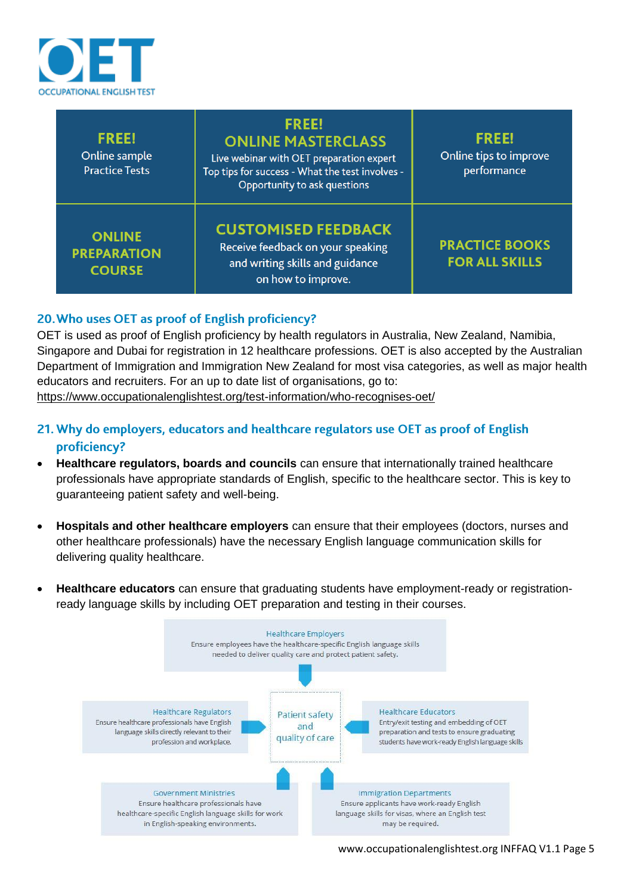

| <b>FREE!</b><br>Online sample<br><b>Practice Tests</b> | <b>FREE!</b><br><b>ONLINE MASTERCLASS</b><br>Live webinar with OET preparation expert<br>Top tips for success - What the test involves -<br>Opportunity to ask questions | <b>FREE!</b><br>Online tips to improve<br>performance |
|--------------------------------------------------------|--------------------------------------------------------------------------------------------------------------------------------------------------------------------------|-------------------------------------------------------|
| <b>ONLINE</b><br><b>PREPARATION</b><br><b>COURSE</b>   | <b>CUSTOMISED FEEDBACK</b><br>Receive feedback on your speaking<br>and writing skills and guidance<br>on how to improve.                                                 | <b>PRACTICE BOOKS</b><br><b>FOR ALL SKILLS</b>        |

# 20. Who uses OET as proof of English proficiency?

OET is used as proof of English proficiency by health regulators in Australia, New Zealand, Namibia, Singapore and Dubai for registration in 12 healthcare professions. OET is also accepted by the Australian Department of Immigration and Immigration New Zealand for most visa categories, as well as major health educators and recruiters. For an up to date list of organisations, go to: <https://www.occupationalenglishtest.org/test-information/who-recognises-oet/>

- 21. Why do employers, educators and healthcare regulators use OET as proof of English proficiency?
- **Healthcare regulators, boards and councils** can ensure that internationally trained healthcare professionals have appropriate standards of English, specific to the healthcare sector. This is key to guaranteeing patient safety and well-being.
- **Hospitals and other healthcare employers** can ensure that their employees (doctors, nurses and other healthcare professionals) have the necessary English language communication skills for delivering quality healthcare.
- **Healthcare educators** can ensure that graduating students have employment-ready or registrationready language skills by including OET preparation and testing in their courses.

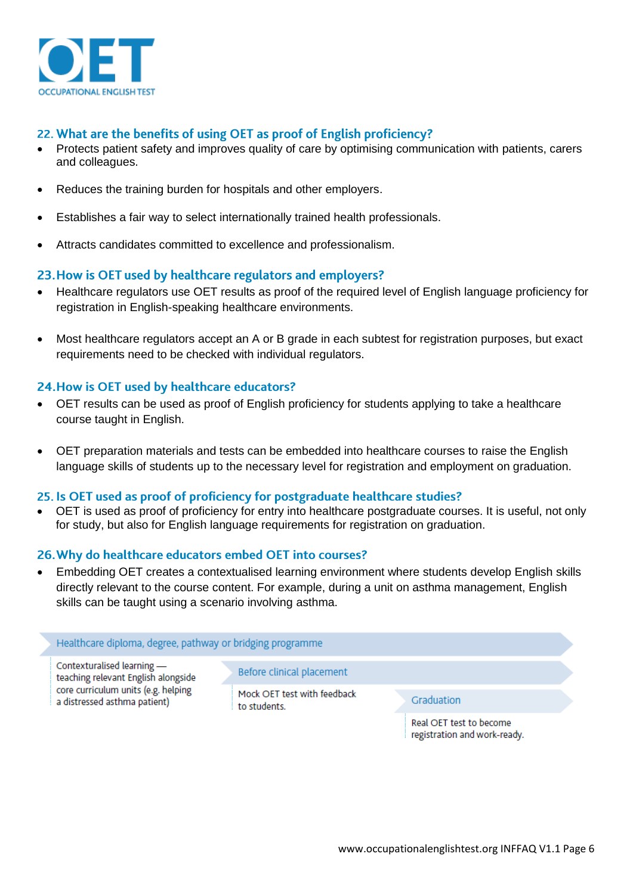

## 22. What are the benefits of using OET as proof of English proficiency?

- Protects patient safety and improves quality of care by optimising communication with patients, carers and colleagues.
- Reduces the training burden for hospitals and other employers.
- Establishes a fair way to select internationally trained health professionals.
- Attracts candidates committed to excellence and professionalism.

## 23. How is OET used by healthcare regulators and employers?

- Healthcare regulators use OET results as proof of the required level of English language proficiency for registration in English-speaking healthcare environments.
- Most healthcare regulators accept an A or B grade in each subtest for registration purposes, but exact requirements need to be checked with individual regulators.

## 24. How is OET used by healthcare educators?

- OET results can be used as proof of English proficiency for students applying to take a healthcare course taught in English.
- OET preparation materials and tests can be embedded into healthcare courses to raise the English language skills of students up to the necessary level for registration and employment on graduation.

#### 25. Is OET used as proof of proficiency for postgraduate healthcare studies?

• OET is used as proof of proficiency for entry into healthcare postgraduate courses. It is useful, not only for study, but also for English language requirements for registration on graduation.

#### 26. Why do healthcare educators embed OET into courses?

• Embedding OET creates a contextualised learning environment where students develop English skills directly relevant to the course content. For example, during a unit on asthma management, English skills can be taught using a scenario involving asthma.

#### Healthcare diploma, degree, pathway or bridging programme

Contexturalised learning teaching relevant English alongside core curriculum units (e.g. helping a distressed asthma patient)

#### Before clinical placement

Mock OET test with feedback to students.

#### Graduation

Real OET test to become registration and work-ready.